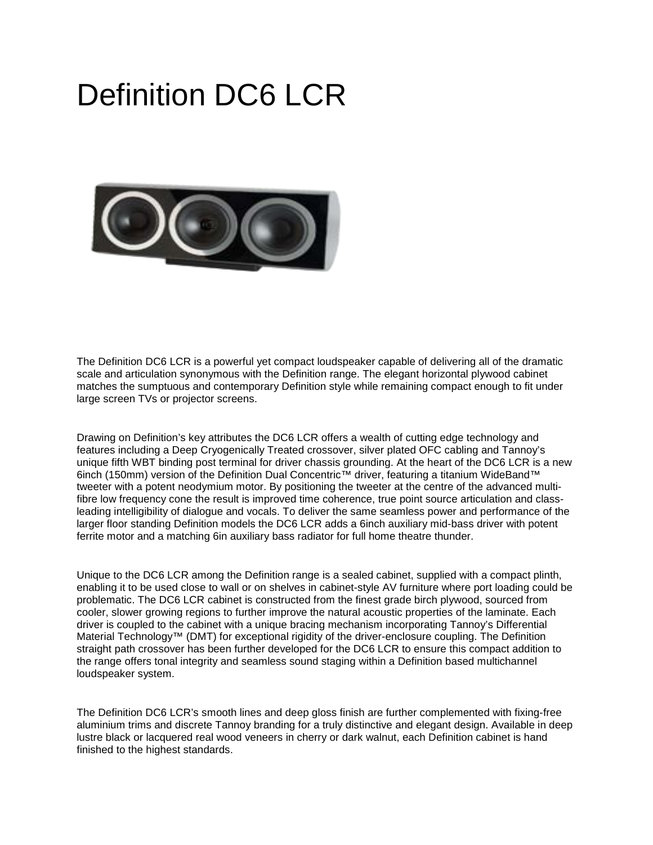## Definition DC6 LCR



The Definition DC6 LCR is a powerful yet compact loudspeaker capable of delivering all of the dramatic scale and articulation synonymous with the Definition range. The elegant horizontal plywood cabinet matches the sumptuous and contemporary Definition style while remaining compact enough to fit under large screen TVs or projector screens.

Drawing on Definition's key attributes the DC6 LCR offers a wealth of cutting edge technology and features including a Deep Cryogenically Treated crossover, silver plated OFC cabling and Tannoy's unique fifth WBT binding post terminal for driver chassis grounding. At the heart of the DC6 LCR is a new 6inch (150mm) version of the Definition Dual Concentric™ driver, featuring a titanium WideBand™ tweeter with a potent neodymium motor. By positioning the tweeter at the centre of the advanced multifibre low frequency cone the result is improved time coherence, true point source articulation and classleading intelligibility of dialogue and vocals. To deliver the same seamless power and performance of the larger floor standing Definition models the DC6 LCR adds a 6inch auxiliary mid-bass driver with potent ferrite motor and a matching 6in auxiliary bass radiator for full home theatre thunder.

Unique to the DC6 LCR among the Definition range is a sealed cabinet, supplied with a compact plinth, enabling it to be used close to wall or on shelves in cabinet-style AV furniture where port loading could be problematic. The DC6 LCR cabinet is constructed from the finest grade birch plywood, sourced from cooler, slower growing regions to further improve the natural acoustic properties of the laminate. Each driver is coupled to the cabinet with a unique bracing mechanism incorporating Tannoy's Differential Material Technology™ (DMT) for exceptional rigidity of the driver-enclosure coupling. The Definition straight path crossover has been further developed for the DC6 LCR to ensure this compact addition to the range offers tonal integrity and seamless sound staging within a Definition based multichannel loudspeaker system.

The Definition DC6 LCR's smooth lines and deep gloss finish are further complemented with fixing-free aluminium trims and discrete Tannoy branding for a truly distinctive and elegant design. Available in deep lustre black or lacquered real wood veneers in cherry or dark walnut, each Definition cabinet is hand finished to the highest standards.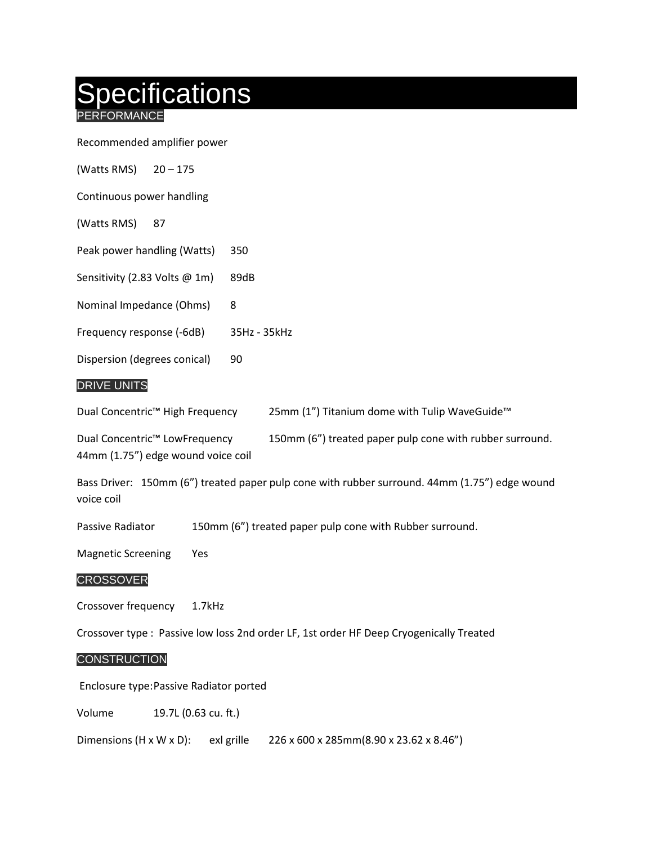# pecifications

REORMANCE

Recommended amplifier power

Continuous power handling

(Watts RMS) 87

Peak power handling (Watts) 350

Sensitivity (2.83 Volts @ 1m) 89dB

Nominal Impedance (Ohms) 8

Frequency response (-6dB) 35Hz - 35kHz

Dispersion (degrees conical) 90

#### DRIVE UNITS

| Dual Concentric <sup>™</sup> High Frequency | 25mm (1") Titanium dome with Tulip WaveGuide™            |
|---------------------------------------------|----------------------------------------------------------|
| Dual Concentric <sup>™</sup> LowFrequency   | 150mm (6") treated paper pulp cone with rubber surround. |

44mm (1.75") edge wound voice coil

Bass Driver: 150mm (6") treated paper pulp cone with rubber surround. 44mm (1.75") edge wound voice coil

Passive Radiator 150mm (6") treated paper pulp cone with Rubber surround.

Magnetic Screening Yes

#### **CROSSOVER**

Crossover frequency 1.7kHz

Crossover type : Passive low loss 2nd order LF, 1st order HF Deep Cryogenically Treated

#### **CONSTRUCTION**

Enclosure type:Passive Radiator ported

Volume 19.7L (0.63 cu. ft.)

Dimensions (H x W x D): exl grille 226 x 600 x 285mm(8.90 x 23.62 x 8.46")